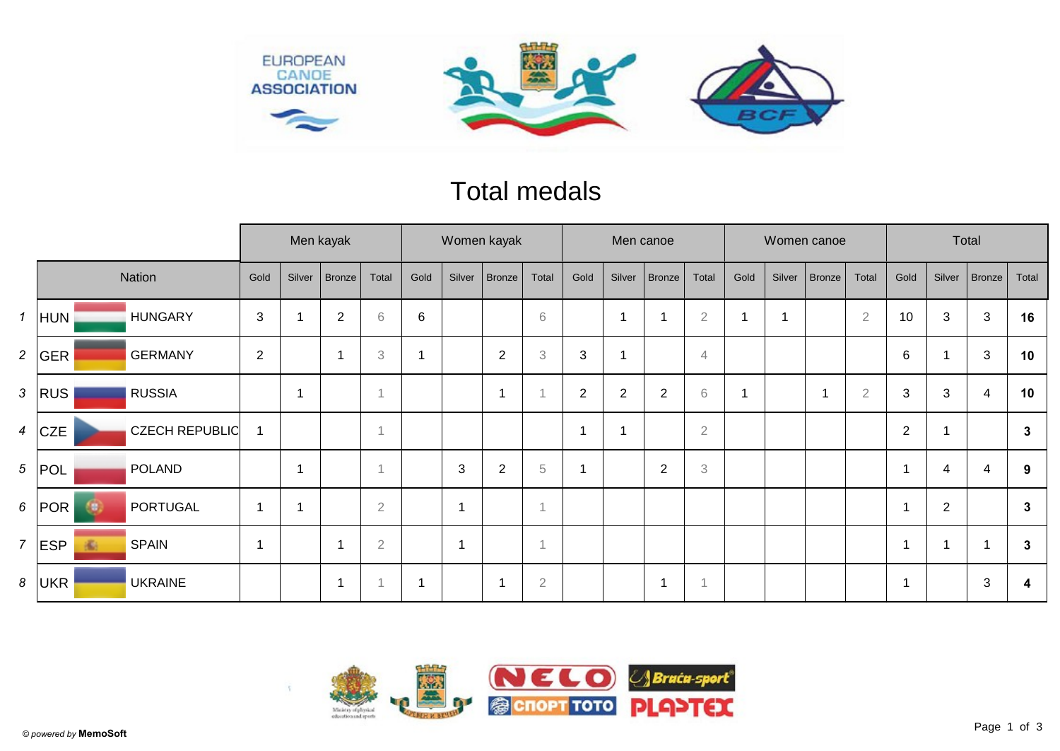

## Total medals

|                  |                 |                       | Men kayak      |                |                          |                | Women kayak |                          |                |                           |                | Men canoe  |               |                |      |        | Women canoe |                | Total          |                |                |              |
|------------------|-----------------|-----------------------|----------------|----------------|--------------------------|----------------|-------------|--------------------------|----------------|---------------------------|----------------|------------|---------------|----------------|------|--------|-------------|----------------|----------------|----------------|----------------|--------------|
|                  |                 | Nation                | Gold           | Silver         | Bronze                   | Total          | Gold        | Silver                   | <b>Bronze</b>  | Total                     | Gold           | Silver     | <b>Bronze</b> | Total          | Gold | Silver | Bronze      | Total          | Gold           | Silver         | Bronze         | Total        |
| $\mathbf{1}$     | HUN             | <b>HUNGARY</b>        | $\mathfrak{S}$ |                | $\overline{2}$           | $\,$ 6 $\,$    | 6           |                          |                | 6                         |                | -1         |               | $\sqrt{2}$     |      |        |             | $\overline{2}$ | 10             | 3              | $\mathfrak{S}$ | 16           |
| $\overline{a}$   | GER             | <b>GERMANY</b>        | $\overline{2}$ |                | -1                       | $\,3$          | 1           |                          | $\overline{2}$ | $\ensuremath{\mathbf{3}}$ | 3              | -1         |               | $\overline{4}$ |      |        |             |                | 6              |                | 3              | 10           |
| $\mathbf{3}$     | <b>RUS</b>      | <b>RUSSIA</b>         |                | $\overline{ }$ |                          | $\overline{A}$ |             |                          |                |                           | $\overline{2}$ | $\sqrt{2}$ | $\sqrt{2}$    | $\,$ $\,$ $\,$ |      |        | -1          | $\sqrt{2}$     | $\sqrt{3}$     | 3              | 4              | 10           |
| $\boldsymbol{4}$ | <b>CZE</b>      | <b>CZECH REPUBLIC</b> |                |                |                          |                |             |                          |                |                           |                |            |               | $\sqrt{2}$     |      |        |             |                | $\overline{2}$ |                |                | $\mathbf{3}$ |
|                  | $5$ POL         | <b>POLAND</b>         |                | $\overline{ }$ |                          | $\overline{A}$ |             | $\mathbf{3}$             | $\overline{2}$ | 5                         | ٠              |            | 2             | 3              |      |        |             |                | $\overline{1}$ | 4              | 4              | 9            |
| 6 <sup>1</sup>   | POR<br>Œ.       | PORTUGAL              |                |                |                          | $\sqrt{2}$     |             | $\overline{\mathcal{A}}$ |                | 1                         |                |            |               |                |      |        |             |                | 1              | $\overline{2}$ |                | $\mathbf{3}$ |
| $\overline{7}$   | <b>ESP</b><br>瘉 | <b>SPAIN</b>          |                |                | $\overline{\phantom{a}}$ | $\sqrt{2}$     |             | $\overline{\mathcal{A}}$ |                | 1                         |                |            |               |                |      |        |             |                | $\overline{1}$ |                |                | 3            |
| 8                | UKR             | <b>UKRAINE</b>        |                |                | 1                        |                | 1           |                          |                | $\overline{2}$            |                |            |               |                |      |        |             |                | -1             |                | 3              | 4            |

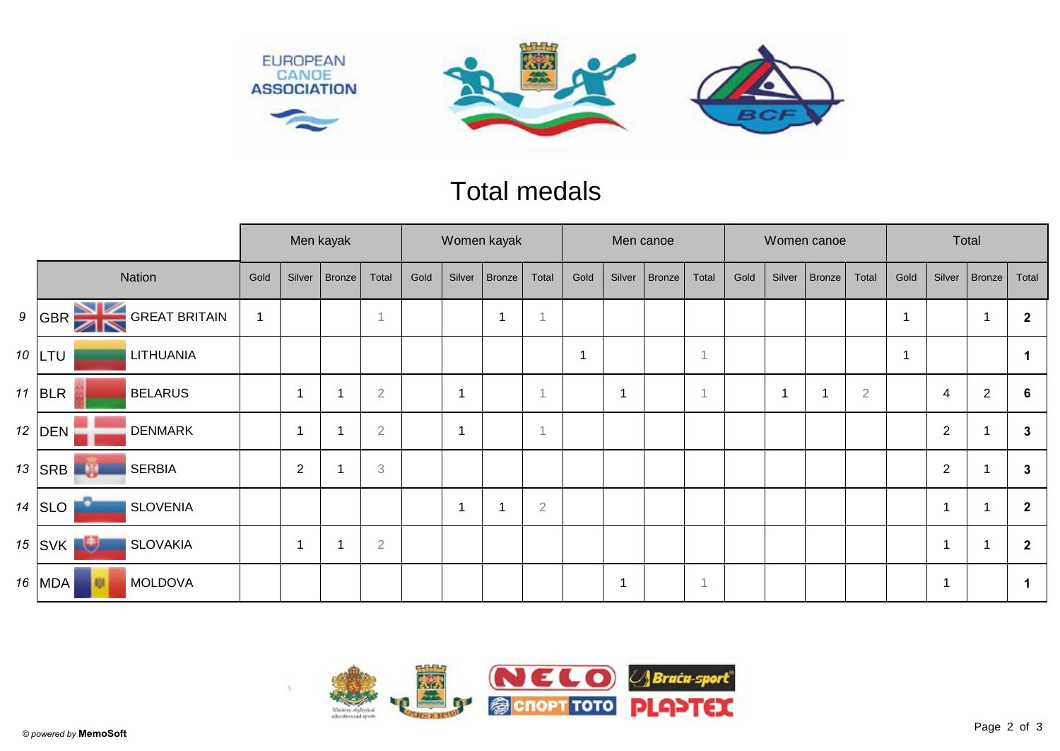

## Total medals

|        |                                                 |                | Men kayak      |        |                           |      | Women kayak |        |                |      |                | Men canoe     |                |      |        | Women canoe   |                | Total |                |                          |              |
|--------|-------------------------------------------------|----------------|----------------|--------|---------------------------|------|-------------|--------|----------------|------|----------------|---------------|----------------|------|--------|---------------|----------------|-------|----------------|--------------------------|--------------|
| Nation |                                                 |                | Silver         | Bronze | Total                     | Gold | Silver      | Bronze | Total          | Gold | Silver         | <b>Bronze</b> | Total          | Gold | Silver | <b>Bronze</b> | Total          | Gold  | Silver         | Bronze                   | Total        |
| 9      | <b>GREAT BRITAIN</b><br> GBR<br>$\times$        | $\overline{1}$ |                |        | $\overline{A}$            |      |             | 1      |                |      |                |               |                |      |        |               |                |       |                | $\overline{\phantom{a}}$ | $\mathbf{2}$ |
|        | 10 $LTU$<br><b>LITHUANIA</b>                    |                |                |        |                           |      |             |        |                | 1    |                |               | 1              |      |        |               |                |       |                |                          |              |
|        | 11 BLR<br><b>BELARUS</b>                        |                |                |        | $\overline{2}$            |      | -1          |        |                |      | $\overline{1}$ |               | $\overline{1}$ |      |        |               | $\overline{2}$ |       | 4              | $\overline{2}$           | 6            |
|        | 12 DEN<br><b>DENMARK</b>                        |                | -1             |        | $\overline{2}$            |      | 1           |        |                |      |                |               |                |      |        |               |                |       | $\overline{2}$ |                          | $\mathbf{3}$ |
|        | 13   SRB <sup> </sup><br><b>SERBIA</b><br>- 130 |                | $\overline{2}$ |        | $\ensuremath{\mathbf{3}}$ |      |             |        |                |      |                |               |                |      |        |               |                |       | $\sqrt{2}$     |                          | $\mathbf{3}$ |
|        | 14 $ $ SLO<br><b>SLOVENIA</b>                   |                |                |        |                           |      |             |        | $\overline{2}$ |      |                |               |                |      |        |               |                |       | 1              |                          | $\mathbf{2}$ |
|        | 通<br>$15$ SVK<br><b>SLOVAKIA</b>                |                | -4             |        | $\mathbf 2$               |      |             |        |                |      |                |               |                |      |        |               |                |       | 1              |                          | $\mathbf 2$  |
|        | 16   MDA '<br><b>MOLDOVA</b>                    |                |                |        |                           |      |             |        |                |      | 1              |               | $\overline{1}$ |      |        |               |                |       | -1             |                          | -1           |